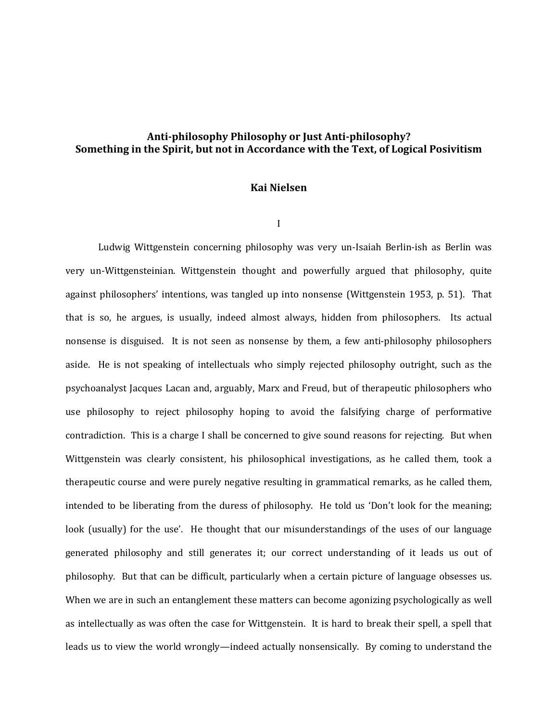## **Anti-philosophy Philosophy or Just Anti-philosophy? Something in the Spirit, but not in Accordance with the Text, of Logical Posivitism**

## **Kai Nielsen**

I

Ludwig Wittgenstein concerning philosophy was very un-Isaiah Berlin-ish as Berlin was very un-Wittgensteinian. Wittgenstein thought and powerfully argued that philosophy, quite against philosophers' intentions, was tangled up into nonsense (Wittgenstein 1953, p. 51). That that is so, he argues, is usually, indeed almost always, hidden from philosophers. Its actual nonsense is disguised. It is not seen as nonsense by them, a few anti-philosophy philosophers aside. He is not speaking of intellectuals who simply rejected philosophy outright, such as the psychoanalyst Jacques Lacan and, arguably, Marx and Freud, but of therapeutic philosophers who use philosophy to reject philosophy hoping to avoid the falsifying charge of performative contradiction. This is a charge I shall be concerned to give sound reasons for rejecting. But when Wittgenstein was clearly consistent, his philosophical investigations, as he called them, took a therapeutic course and were purely negative resulting in grammatical remarks, as he called them, intended to be liberating from the duress of philosophy. He told us 'Don't look for the meaning; look (usually) for the use'. He thought that our misunderstandings of the uses of our language generated philosophy and still generates it; our correct understanding of it leads us out of philosophy. But that can be difficult, particularly when a certain picture of language obsesses us. When we are in such an entanglement these matters can become agonizing psychologically as well as intellectually as was often the case for Wittgenstein. It is hard to break their spell, a spell that leads us to view the world wrongly—indeed actually nonsensically. By coming to understand the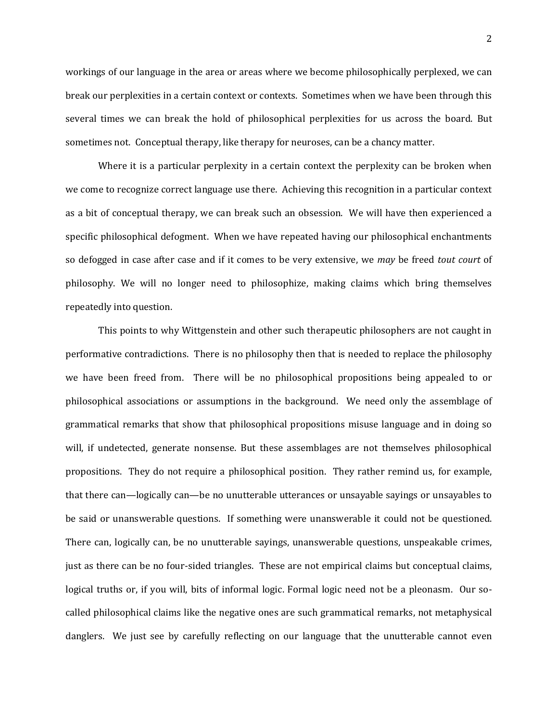workings of our language in the area or areas where we become philosophically perplexed, we can break our perplexities in a certain context or contexts. Sometimes when we have been through this several times we can break the hold of philosophical perplexities for us across the board. But sometimes not. Conceptual therapy, like therapy for neuroses, can be a chancy matter.

Where it is a particular perplexity in a certain context the perplexity can be broken when we come to recognize correct language use there. Achieving this recognition in a particular context as a bit of conceptual therapy, we can break such an obsession. We will have then experienced a specific philosophical defogment. When we have repeated having our philosophical enchantments so defogged in case after case and if it comes to be very extensive, we *may* be freed *tout court* of philosophy. We will no longer need to philosophize, making claims which bring themselves repeatedly into question.

This points to why Wittgenstein and other such therapeutic philosophers are not caught in performative contradictions. There is no philosophy then that is needed to replace the philosophy we have been freed from. There will be no philosophical propositions being appealed to or philosophical associations or assumptions in the background. We need only the assemblage of grammatical remarks that show that philosophical propositions misuse language and in doing so will, if undetected, generate nonsense. But these assemblages are not themselves philosophical propositions. They do not require a philosophical position. They rather remind us, for example, that there can—logically can—be no unutterable utterances or unsayable sayings or unsayables to be said or unanswerable questions. If something were unanswerable it could not be questioned. There can, logically can, be no unutterable sayings, unanswerable questions, unspeakable crimes, just as there can be no four-sided triangles. These are not empirical claims but conceptual claims, logical truths or, if you will, bits of informal logic. Formal logic need not be a pleonasm. Our socalled philosophical claims like the negative ones are such grammatical remarks, not metaphysical danglers. We just see by carefully reflecting on our language that the unutterable cannot even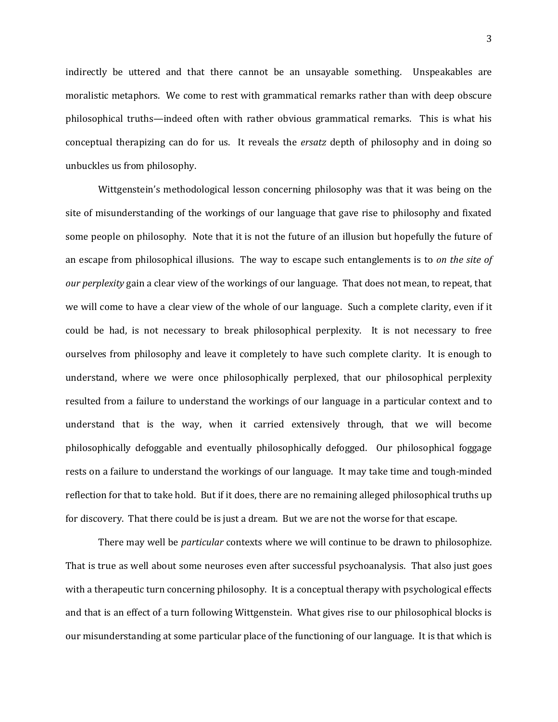indirectly be uttered and that there cannot be an unsayable something. Unspeakables are moralistic metaphors. We come to rest with grammatical remarks rather than with deep obscure philosophical truths—indeed often with rather obvious grammatical remarks. This is what his conceptual therapizing can do for us. It reveals the *ersatz* depth of philosophy and in doing so unbuckles us from philosophy.

Wittgenstein's methodological lesson concerning philosophy was that it was being on the site of misunderstanding of the workings of our language that gave rise to philosophy and fixated some people on philosophy. Note that it is not the future of an illusion but hopefully the future of an escape from philosophical illusions. The way to escape such entanglements is to *on the site of our perplexity* gain a clear view of the workings of our language. That does not mean, to repeat, that we will come to have a clear view of the whole of our language. Such a complete clarity, even if it could be had, is not necessary to break philosophical perplexity. It is not necessary to free ourselves from philosophy and leave it completely to have such complete clarity. It is enough to understand, where we were once philosophically perplexed, that our philosophical perplexity resulted from a failure to understand the workings of our language in a particular context and to understand that is the way, when it carried extensively through, that we will become philosophically defoggable and eventually philosophically defogged. Our philosophical foggage rests on a failure to understand the workings of our language. It may take time and tough-minded reflection for that to take hold. But if it does, there are no remaining alleged philosophical truths up for discovery. That there could be is just a dream. But we are not the worse for that escape.

There may well be *particular* contexts where we will continue to be drawn to philosophize. That is true as well about some neuroses even after successful psychoanalysis. That also just goes with a therapeutic turn concerning philosophy. It is a conceptual therapy with psychological effects and that is an effect of a turn following Wittgenstein. What gives rise to our philosophical blocks is our misunderstanding at some particular place of the functioning of our language. It is that which is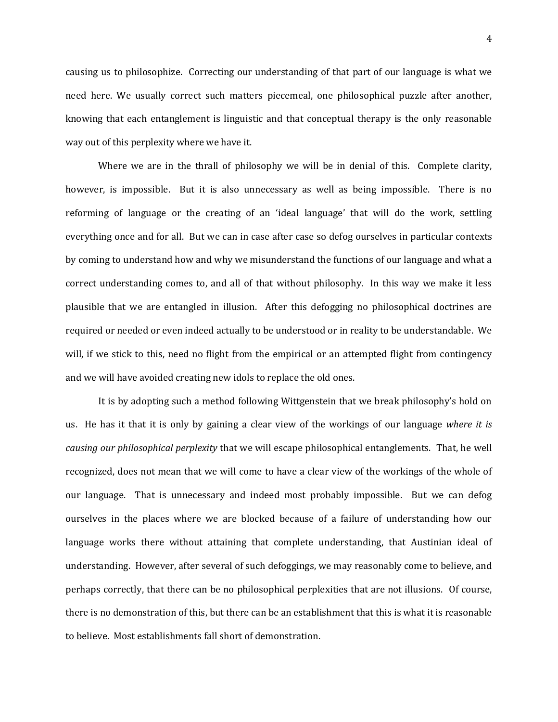causing us to philosophize. Correcting our understanding of that part of our language is what we need here. We usually correct such matters piecemeal, one philosophical puzzle after another, knowing that each entanglement is linguistic and that conceptual therapy is the only reasonable way out of this perplexity where we have it.

Where we are in the thrall of philosophy we will be in denial of this. Complete clarity, however, is impossible. But it is also unnecessary as well as being impossible. There is no reforming of language or the creating of an 'ideal language' that will do the work, settling everything once and for all. But we can in case after case so defog ourselves in particular contexts by coming to understand how and why we misunderstand the functions of our language and what a correct understanding comes to, and all of that without philosophy. In this way we make it less plausible that we are entangled in illusion. After this defogging no philosophical doctrines are required or needed or even indeed actually to be understood or in reality to be understandable. We will, if we stick to this, need no flight from the empirical or an attempted flight from contingency and we will have avoided creating new idols to replace the old ones.

It is by adopting such a method following Wittgenstein that we break philosophy's hold on us. He has it that it is only by gaining a clear view of the workings of our language *where it is causing our philosophical perplexity* that we will escape philosophical entanglements. That, he well recognized, does not mean that we will come to have a clear view of the workings of the whole of our language. That is unnecessary and indeed most probably impossible. But we can defog ourselves in the places where we are blocked because of a failure of understanding how our language works there without attaining that complete understanding, that Austinian ideal of understanding. However, after several of such defoggings, we may reasonably come to believe, and perhaps correctly, that there can be no philosophical perplexities that are not illusions. Of course, there is no demonstration of this, but there can be an establishment that this is what it is reasonable to believe. Most establishments fall short of demonstration.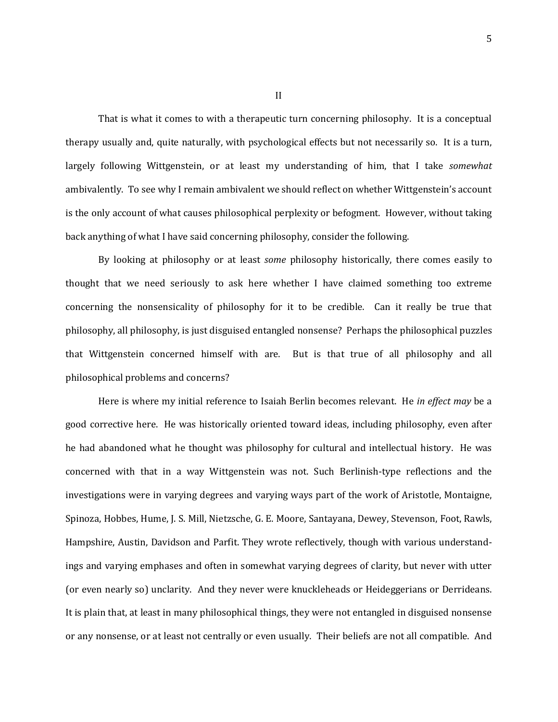That is what it comes to with a therapeutic turn concerning philosophy. It is a conceptual therapy usually and, quite naturally, with psychological effects but not necessarily so. It is a turn, largely following Wittgenstein, or at least my understanding of him, that I take *somewhat* ambivalently. To see why I remain ambivalent we should reflect on whether Wittgenstein's account is the only account of what causes philosophical perplexity or befogment. However, without taking back anything of what I have said concerning philosophy, consider the following.

By looking at philosophy or at least *some* philosophy historically, there comes easily to thought that we need seriously to ask here whether I have claimed something too extreme concerning the nonsensicality of philosophy for it to be credible. Can it really be true that philosophy, all philosophy, is just disguised entangled nonsense? Perhaps the philosophical puzzles that Wittgenstein concerned himself with are. But is that true of all philosophy and all philosophical problems and concerns?

Here is where my initial reference to Isaiah Berlin becomes relevant. He *in effect may* be a good corrective here. He was historically oriented toward ideas, including philosophy, even after he had abandoned what he thought was philosophy for cultural and intellectual history. He was concerned with that in a way Wittgenstein was not. Such Berlinish-type reflections and the investigations were in varying degrees and varying ways part of the work of Aristotle, Montaigne, Spinoza, Hobbes, Hume, J. S. Mill, Nietzsche, G. E. Moore, Santayana, Dewey, Stevenson, Foot, Rawls, Hampshire, Austin, Davidson and Parfit. They wrote reflectively, though with various understandings and varying emphases and often in somewhat varying degrees of clarity, but never with utter (or even nearly so) unclarity. And they never were knuckleheads or Heideggerians or Derrideans. It is plain that, at least in many philosophical things, they were not entangled in disguised nonsense or any nonsense, or at least not centrally or even usually. Their beliefs are not all compatible. And

II

5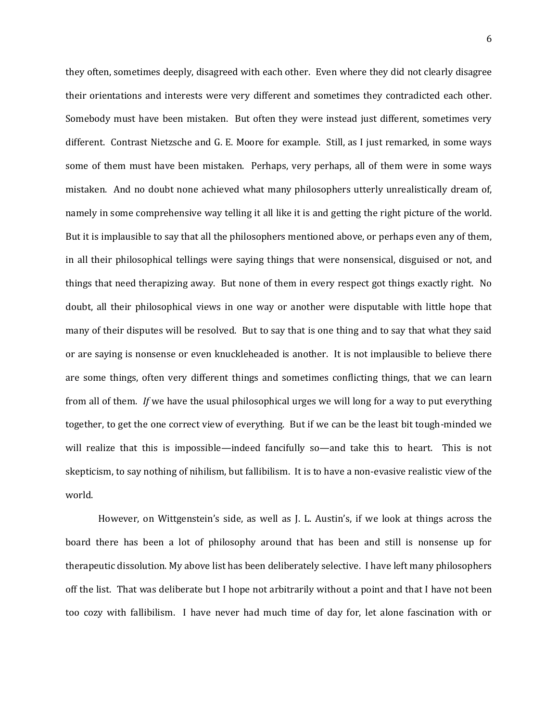they often, sometimes deeply, disagreed with each other. Even where they did not clearly disagree their orientations and interests were very different and sometimes they contradicted each other. Somebody must have been mistaken. But often they were instead just different, sometimes very different. Contrast Nietzsche and G. E. Moore for example. Still, as I just remarked, in some ways some of them must have been mistaken. Perhaps, very perhaps, all of them were in some ways mistaken. And no doubt none achieved what many philosophers utterly unrealistically dream of, namely in some comprehensive way telling it all like it is and getting the right picture of the world. But it is implausible to say that all the philosophers mentioned above, or perhaps even any of them, in all their philosophical tellings were saying things that were nonsensical, disguised or not, and things that need therapizing away. But none of them in every respect got things exactly right. No doubt, all their philosophical views in one way or another were disputable with little hope that many of their disputes will be resolved. But to say that is one thing and to say that what they said or are saying is nonsense or even knuckleheaded is another. It is not implausible to believe there are some things, often very different things and sometimes conflicting things, that we can learn from all of them. *If* we have the usual philosophical urges we will long for a way to put everything together, to get the one correct view of everything. But if we can be the least bit tough-minded we will realize that this is impossible—indeed fancifully so—and take this to heart. This is not skepticism, to say nothing of nihilism, but fallibilism. It is to have a non-evasive realistic view of the world.

However, on Wittgenstein's side, as well as J. L. Austin's, if we look at things across the board there has been a lot of philosophy around that has been and still is nonsense up for therapeutic dissolution. My above list has been deliberately selective. I have left many philosophers off the list. That was deliberate but I hope not arbitrarily without a point and that I have not been too cozy with fallibilism. I have never had much time of day for, let alone fascination with or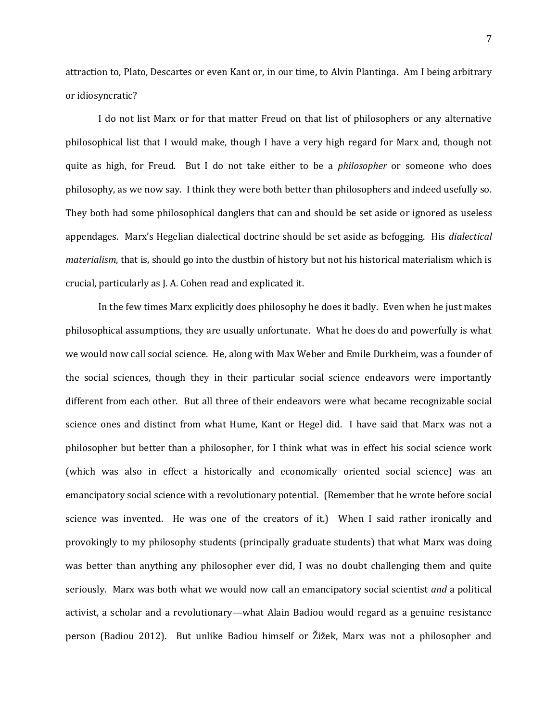attraction to, Plato, Descartes or even Kant or, in our time, to Alvin Plantinga. Am I being arbitrary or idiosyncratic?

I do not list Marx or for that matter Freud on that list of philosophers or any alternative philosophical list that I would make, though I have a very high regard for Marx and, though not quite as high, for Freud. But I do not take either to be a *philosopher* or someone who does philosophy, as we now say. I think they were both better than philosophers and indeed usefully so. They both had some philosophical danglers that can and should be set aside or ignored as useless appendages. Marx's Hegelian dialectical doctrine should be set aside as befogging. His *dialectical materialism*, that is, should go into the dustbin of history but not his historical materialism which is crucial, particularly as J. A. Cohen read and explicated it.

In the few times Marx explicitly does philosophy he does it badly. Even when he just makes philosophical assumptions, they are usually unfortunate. What he does do and powerfully is what we would now call social science. He, along with Max Weber and Emile Durkheim, was a founder of the social sciences, though they in their particular social science endeavors were importantly different from each other. But all three of their endeavors were what became recognizable social science ones and distinct from what Hume, Kant or Hegel did. I have said that Marx was not a philosopher but better than a philosopher, for I think what was in effect his social science work (which was also in effect a historically and economically oriented social science) was an emancipatory social science with a revolutionary potential. (Remember that he wrote before social science was invented. He was one of the creators of it.) When I said rather ironically and provokingly to my philosophy students (principally graduate students) that what Marx was doing was better than anything any philosopher ever did, I was no doubt challenging them and quite seriously. Marx was both what we would now call an emancipatory social scientist *and* a political activist, a scholar and a revolutionary—what Alain Badiou would regard as a genuine resistance person (Badiou 2012). But unlike Badiou himself or Žižek, Marx was not a philosopher and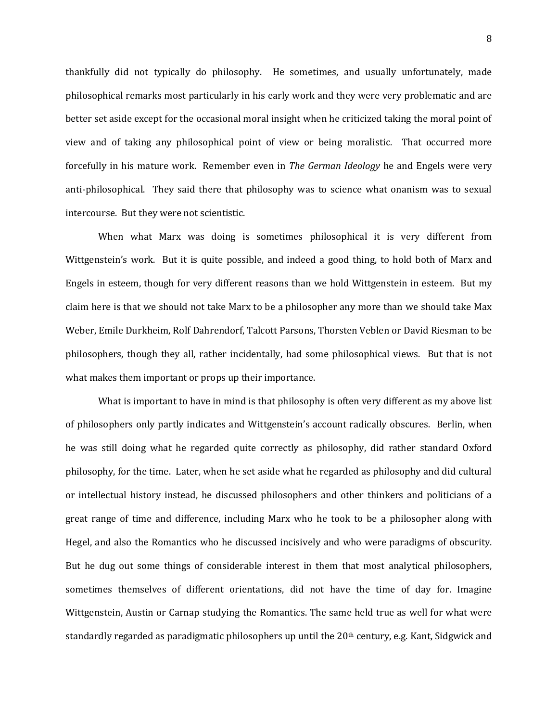thankfully did not typically do philosophy. He sometimes, and usually unfortunately, made philosophical remarks most particularly in his early work and they were very problematic and are better set aside except for the occasional moral insight when he criticized taking the moral point of view and of taking any philosophical point of view or being moralistic. That occurred more forcefully in his mature work. Remember even in *The German Ideology* he and Engels were very anti-philosophical. They said there that philosophy was to science what onanism was to sexual intercourse. But they were not scientistic.

When what Marx was doing is sometimes philosophical it is very different from Wittgenstein's work. But it is quite possible, and indeed a good thing, to hold both of Marx and Engels in esteem, though for very different reasons than we hold Wittgenstein in esteem. But my claim here is that we should not take Marx to be a philosopher any more than we should take Max Weber, Emile Durkheim, Rolf Dahrendorf, Talcott Parsons, Thorsten Veblen or David Riesman to be philosophers, though they all, rather incidentally, had some philosophical views. But that is not what makes them important or props up their importance.

What is important to have in mind is that philosophy is often very different as my above list of philosophers only partly indicates and Wittgenstein's account radically obscures. Berlin, when he was still doing what he regarded quite correctly as philosophy, did rather standard Oxford philosophy, for the time. Later, when he set aside what he regarded as philosophy and did cultural or intellectual history instead, he discussed philosophers and other thinkers and politicians of a great range of time and difference, including Marx who he took to be a philosopher along with Hegel, and also the Romantics who he discussed incisively and who were paradigms of obscurity. But he dug out some things of considerable interest in them that most analytical philosophers, sometimes themselves of different orientations, did not have the time of day for. Imagine Wittgenstein, Austin or Carnap studying the Romantics. The same held true as well for what were standardly regarded as paradigmatic philosophers up until the  $20<sup>th</sup>$  century, e.g. Kant, Sidgwick and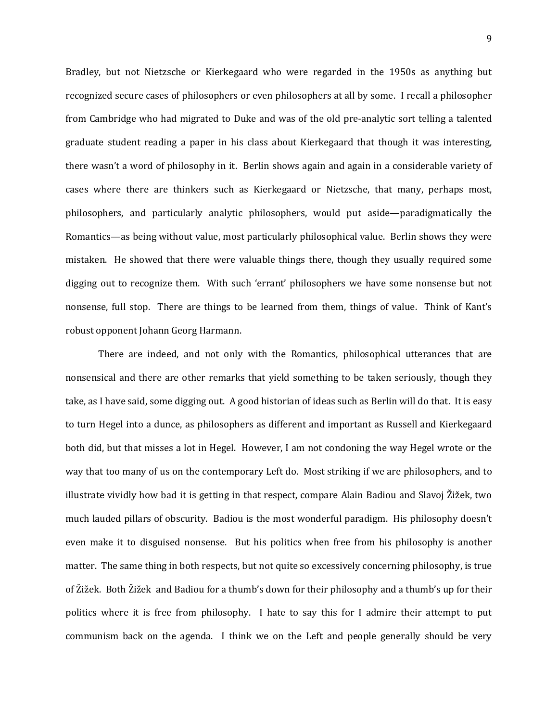Bradley, but not Nietzsche or Kierkegaard who were regarded in the 1950s as anything but recognized secure cases of philosophers or even philosophers at all by some. I recall a philosopher from Cambridge who had migrated to Duke and was of the old pre-analytic sort telling a talented graduate student reading a paper in his class about Kierkegaard that though it was interesting, there wasn't a word of philosophy in it. Berlin shows again and again in a considerable variety of cases where there are thinkers such as Kierkegaard or Nietzsche, that many, perhaps most, philosophers, and particularly analytic philosophers, would put aside—paradigmatically the Romantics—as being without value, most particularly philosophical value. Berlin shows they were mistaken. He showed that there were valuable things there, though they usually required some digging out to recognize them. With such 'errant' philosophers we have some nonsense but not nonsense, full stop. There are things to be learned from them, things of value. Think of Kant's robust opponent Johann Georg Harmann.

There are indeed, and not only with the Romantics, philosophical utterances that are nonsensical and there are other remarks that yield something to be taken seriously, though they take, as I have said, some digging out. A good historian of ideas such as Berlin will do that. It is easy to turn Hegel into a dunce, as philosophers as different and important as Russell and Kierkegaard both did, but that misses a lot in Hegel. However, I am not condoning the way Hegel wrote or the way that too many of us on the contemporary Left do. Most striking if we are philosophers, and to illustrate vividly how bad it is getting in that respect, compare Alain Badiou and Slavoj Žižek, two much lauded pillars of obscurity. Badiou is the most wonderful paradigm. His philosophy doesn't even make it to disguised nonsense. But his politics when free from his philosophy is another matter. The same thing in both respects, but not quite so excessively concerning philosophy, is true of Žižek. Both Žižek and Badiou for a thumb's down for their philosophy and a thumb's up for their politics where it is free from philosophy. I hate to say this for I admire their attempt to put communism back on the agenda. I think we on the Left and people generally should be very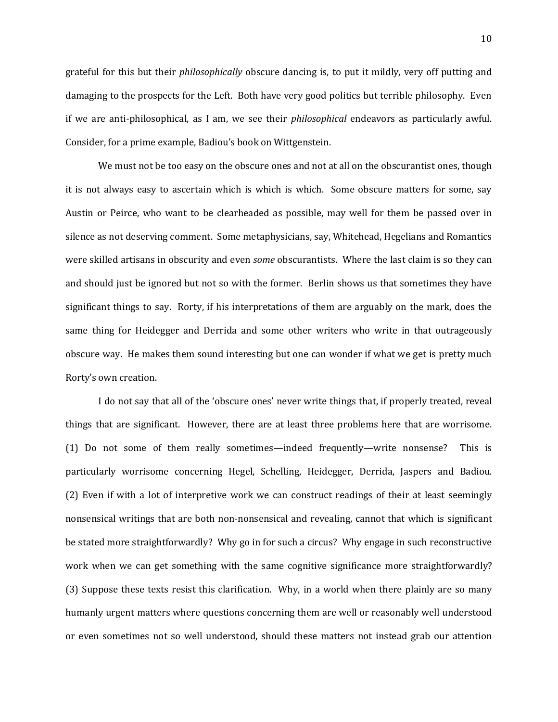grateful for this but their *philosophically* obscure dancing is, to put it mildly, very off putting and damaging to the prospects for the Left. Both have very good politics but terrible philosophy. Even if we are anti-philosophical, as I am, we see their *philosophical* endeavors as particularly awful. Consider, for a prime example, Badiou's book on Wittgenstein.

We must not be too easy on the obscure ones and not at all on the obscurantist ones, though it is not always easy to ascertain which is which is which. Some obscure matters for some, say Austin or Peirce, who want to be clearheaded as possible, may well for them be passed over in silence as not deserving comment. Some metaphysicians, say, Whitehead, Hegelians and Romantics were skilled artisans in obscurity and even *some* obscurantists. Where the last claim is so they can and should just be ignored but not so with the former. Berlin shows us that sometimes they have significant things to say. Rorty, if his interpretations of them are arguably on the mark, does the same thing for Heidegger and Derrida and some other writers who write in that outrageously obscure way. He makes them sound interesting but one can wonder if what we get is pretty much Rorty's own creation.

I do not say that all of the 'obscure ones' never write things that, if properly treated, reveal things that are significant. However, there are at least three problems here that are worrisome. (1) Do not some of them really sometimes—indeed frequently—write nonsense? This is particularly worrisome concerning Hegel, Schelling, Heidegger, Derrida, Jaspers and Badiou. (2) Even if with a lot of interpretive work we can construct readings of their at least seemingly nonsensical writings that are both non-nonsensical and revealing, cannot that which is significant be stated more straightforwardly? Why go in for such a circus? Why engage in such reconstructive work when we can get something with the same cognitive significance more straightforwardly? (3) Suppose these texts resist this clarification. Why, in a world when there plainly are so many humanly urgent matters where questions concerning them are well or reasonably well understood or even sometimes not so well understood, should these matters not instead grab our attention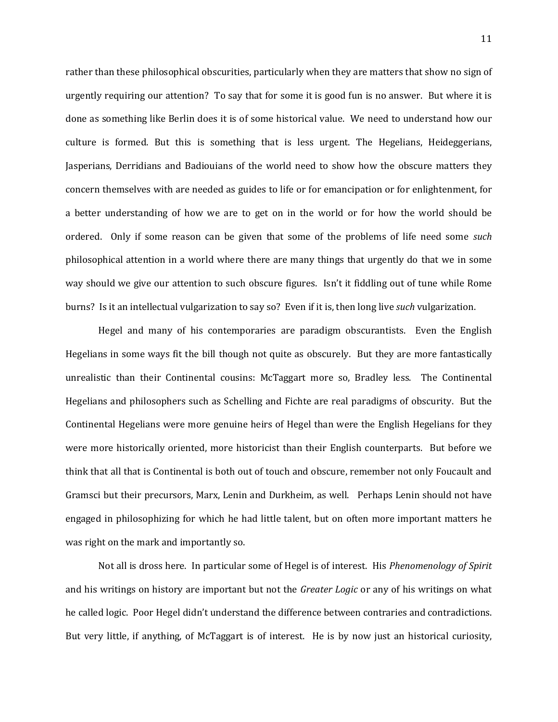rather than these philosophical obscurities, particularly when they are matters that show no sign of urgently requiring our attention? To say that for some it is good fun is no answer. But where it is done as something like Berlin does it is of some historical value. We need to understand how our culture is formed. But this is something that is less urgent. The Hegelians, Heideggerians, Jasperians, Derridians and Badiouians of the world need to show how the obscure matters they concern themselves with are needed as guides to life or for emancipation or for enlightenment, for a better understanding of how we are to get on in the world or for how the world should be ordered. Only if some reason can be given that some of the problems of life need some *such* philosophical attention in a world where there are many things that urgently do that we in some way should we give our attention to such obscure figures. Isn't it fiddling out of tune while Rome burns? Is it an intellectual vulgarization to say so? Even if it is, then long live *such* vulgarization.

Hegel and many of his contemporaries are paradigm obscurantists. Even the English Hegelians in some ways fit the bill though not quite as obscurely. But they are more fantastically unrealistic than their Continental cousins: McTaggart more so, Bradley less. The Continental Hegelians and philosophers such as Schelling and Fichte are real paradigms of obscurity. But the Continental Hegelians were more genuine heirs of Hegel than were the English Hegelians for they were more historically oriented, more historicist than their English counterparts. But before we think that all that is Continental is both out of touch and obscure, remember not only Foucault and Gramsci but their precursors, Marx, Lenin and Durkheim, as well. Perhaps Lenin should not have engaged in philosophizing for which he had little talent, but on often more important matters he was right on the mark and importantly so.

Not all is dross here. In particular some of Hegel is of interest. His *Phenomenology of Spirit*  and his writings on history are important but not the *Greater Logic* or any of his writings on what he called logic. Poor Hegel didn't understand the difference between contraries and contradictions. But very little, if anything, of McTaggart is of interest. He is by now just an historical curiosity,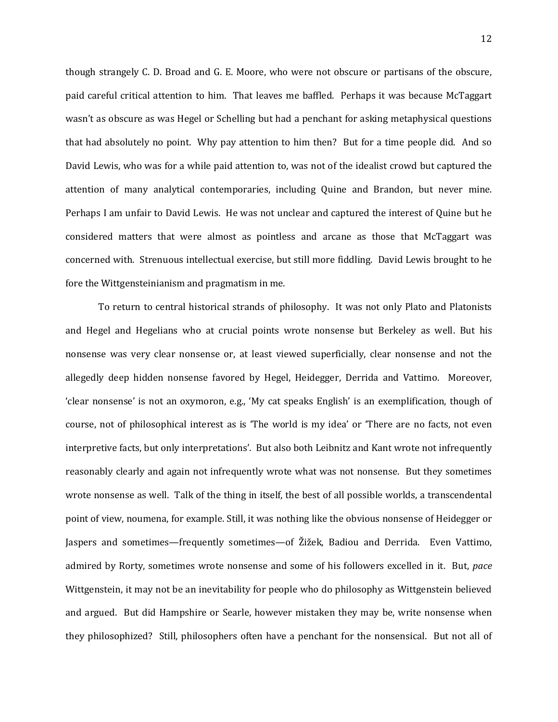though strangely C. D. Broad and G. E. Moore, who were not obscure or partisans of the obscure, paid careful critical attention to him. That leaves me baffled. Perhaps it was because McTaggart wasn't as obscure as was Hegel or Schelling but had a penchant for asking metaphysical questions that had absolutely no point. Why pay attention to him then? But for a time people did. And so David Lewis, who was for a while paid attention to, was not of the idealist crowd but captured the attention of many analytical contemporaries, including Quine and Brandon, but never mine. Perhaps I am unfair to David Lewis. He was not unclear and captured the interest of Quine but he considered matters that were almost as pointless and arcane as those that McTaggart was concerned with. Strenuous intellectual exercise, but still more fiddling. David Lewis brought to he fore the Wittgensteinianism and pragmatism in me.

To return to central historical strands of philosophy. It was not only Plato and Platonists and Hegel and Hegelians who at crucial points wrote nonsense but Berkeley as well. But his nonsense was very clear nonsense or, at least viewed superficially, clear nonsense and not the allegedly deep hidden nonsense favored by Hegel, Heidegger, Derrida and Vattimo. Moreover, 'clear nonsense' is not an oxymoron, e.g., 'My cat speaks English' is an exemplification, though of course, not of philosophical interest as is 'The world is my idea' or 'There are no facts, not even interpretive facts, but only interpretations'. But also both Leibnitz and Kant wrote not infrequently reasonably clearly and again not infrequently wrote what was not nonsense. But they sometimes wrote nonsense as well. Talk of the thing in itself, the best of all possible worlds, a transcendental point of view, noumena, for example. Still, it was nothing like the obvious nonsense of Heidegger or Jaspers and sometimes—frequently sometimes—of Žižek, Badiou and Derrida. Even Vattimo, admired by Rorty, sometimes wrote nonsense and some of his followers excelled in it. But, *pace*  Wittgenstein, it may not be an inevitability for people who do philosophy as Wittgenstein believed and argued. But did Hampshire or Searle, however mistaken they may be, write nonsense when they philosophized? Still, philosophers often have a penchant for the nonsensical. But not all of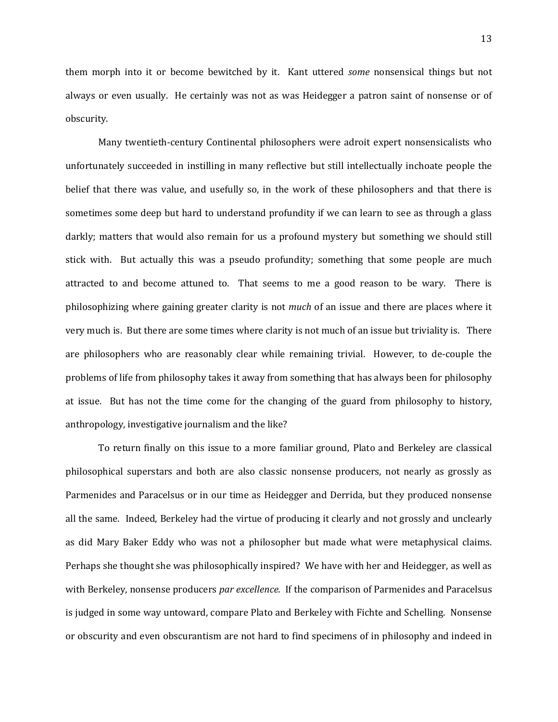them morph into it or become bewitched by it. Kant uttered *some* nonsensical things but not always or even usually. He certainly was not as was Heidegger a patron saint of nonsense or of obscurity.

Many twentieth-century Continental philosophers were adroit expert nonsensicalists who unfortunately succeeded in instilling in many reflective but still intellectually inchoate people the belief that there was value, and usefully so, in the work of these philosophers and that there is sometimes some deep but hard to understand profundity if we can learn to see as through a glass darkly; matters that would also remain for us a profound mystery but something we should still stick with. But actually this was a pseudo profundity; something that some people are much attracted to and become attuned to. That seems to me a good reason to be wary. There is philosophizing where gaining greater clarity is not *much* of an issue and there are places where it very much is. But there are some times where clarity is not much of an issue but triviality is. There are philosophers who are reasonably clear while remaining trivial. However, to de-couple the problems of life from philosophy takes it away from something that has always been for philosophy at issue. But has not the time come for the changing of the guard from philosophy to history, anthropology, investigative journalism and the like?

To return finally on this issue to a more familiar ground, Plato and Berkeley are classical philosophical superstars and both are also classic nonsense producers, not nearly as grossly as Parmenides and Paracelsus or in our time as Heidegger and Derrida, but they produced nonsense all the same. Indeed, Berkeley had the virtue of producing it clearly and not grossly and unclearly as did Mary Baker Eddy who was not a philosopher but made what were metaphysical claims. Perhaps she thought she was philosophically inspired? We have with her and Heidegger, as well as with Berkeley, nonsense producers *par excellence.* If the comparison of Parmenides and Paracelsus is judged in some way untoward, compare Plato and Berkeley with Fichte and Schelling. Nonsense or obscurity and even obscurantism are not hard to find specimens of in philosophy and indeed in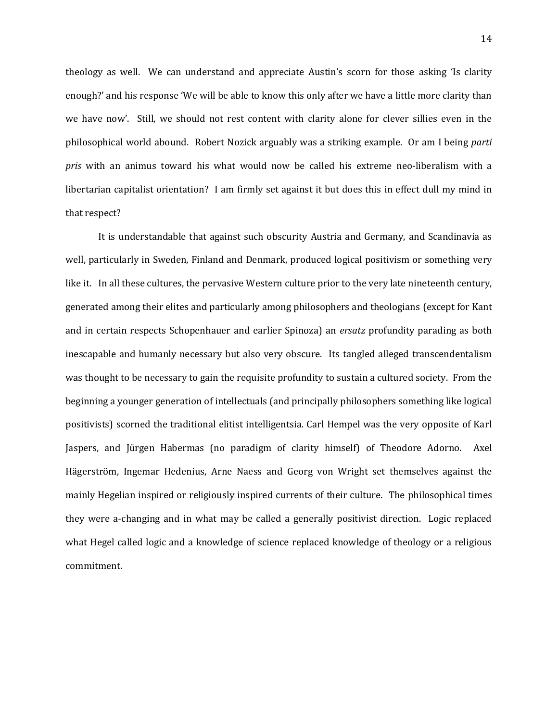theology as well. We can understand and appreciate Austin's scorn for those asking 'Is clarity enough?' and his response 'We will be able to know this only after we have a little more clarity than we have now'. Still, we should not rest content with clarity alone for clever sillies even in the philosophical world abound. Robert Nozick arguably was a striking example. Or am I being *parti pris* with an animus toward his what would now be called his extreme neo-liberalism with a libertarian capitalist orientation? I am firmly set against it but does this in effect dull my mind in that respect?

It is understandable that against such obscurity Austria and Germany, and Scandinavia as well, particularly in Sweden, Finland and Denmark, produced logical positivism or something very like it. In all these cultures, the pervasive Western culture prior to the very late nineteenth century, generated among their elites and particularly among philosophers and theologians (except for Kant and in certain respects Schopenhauer and earlier Spinoza) an *ersatz* profundity parading as both inescapable and humanly necessary but also very obscure. Its tangled alleged transcendentalism was thought to be necessary to gain the requisite profundity to sustain a cultured society. From the beginning a younger generation of intellectuals (and principally philosophers something like logical positivists) scorned the traditional elitist intelligentsia. Carl Hempel was the very opposite of Karl Jaspers, and Jürgen Habermas (no paradigm of clarity himself) of Theodore Adorno. Axel Hägerström, Ingemar Hedenius, Arne Naess and Georg von Wright set themselves against the mainly Hegelian inspired or religiously inspired currents of their culture. The philosophical times they were a-changing and in what may be called a generally positivist direction. Logic replaced what Hegel called logic and a knowledge of science replaced knowledge of theology or a religious commitment.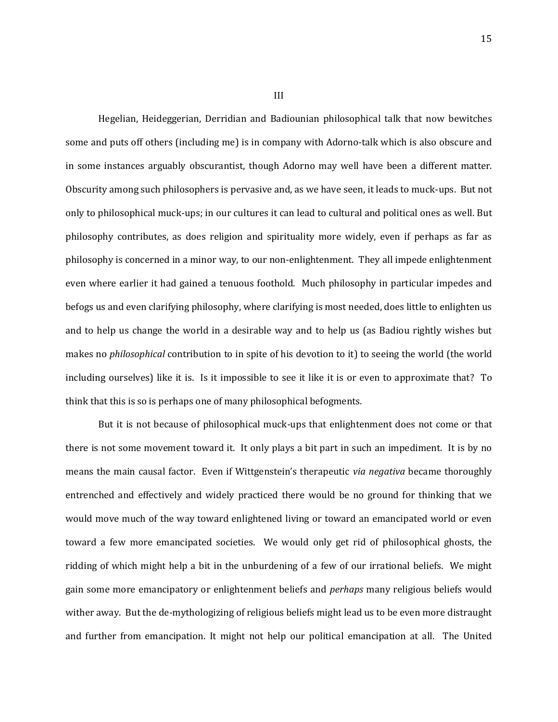Hegelian, Heideggerian, Derridian and Badiounian philosophical talk that now bewitches some and puts off others (including me) is in company with Adorno-talk which is also obscure and in some instances arguably obscurantist, though Adorno may well have been a different matter. Obscurity among such philosophers is pervasive and, as we have seen, it leads to muck-ups. But not only to philosophical muck-ups; in our cultures it can lead to cultural and political ones as well. But philosophy contributes, as does religion and spirituality more widely, even if perhaps as far as philosophy is concerned in a minor way, to our non-enlightenment. They all impede enlightenment even where earlier it had gained a tenuous foothold. Much philosophy in particular impedes and befogs us and even clarifying philosophy, where clarifying is most needed, does little to enlighten us and to help us change the world in a desirable way and to help us (as Badiou rightly wishes but makes no *philosophical* contribution to in spite of his devotion to it) to seeing the world (the world including ourselves) like it is. Is it impossible to see it like it is or even to approximate that? To think that this is so is perhaps one of many philosophical befogments.

But it is not because of philosophical muck-ups that enlightenment does not come or that there is not some movement toward it. It only plays a bit part in such an impediment. It is by no means the main causal factor. Even if Wittgenstein's therapeutic *via negativa* became thoroughly entrenched and effectively and widely practiced there would be no ground for thinking that we would move much of the way toward enlightened living or toward an emancipated world or even toward a few more emancipated societies. We would only get rid of philosophical ghosts, the ridding of which might help a bit in the unburdening of a few of our irrational beliefs. We might gain some more emancipatory or enlightenment beliefs and *perhaps* many religious beliefs would wither away. But the de-mythologizing of religious beliefs might lead us to be even more distraught and further from emancipation. It might not help our political emancipation at all. The United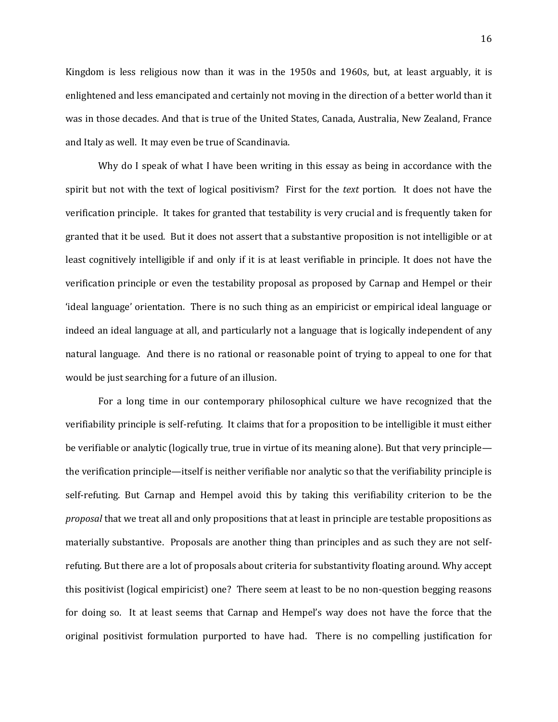Kingdom is less religious now than it was in the 1950s and 1960s, but, at least arguably, it is enlightened and less emancipated and certainly not moving in the direction of a better world than it was in those decades. And that is true of the United States, Canada, Australia, New Zealand, France and Italy as well. It may even be true of Scandinavia.

Why do I speak of what I have been writing in this essay as being in accordance with the spirit but not with the text of logical positivism? First for the *text* portion. It does not have the verification principle. It takes for granted that testability is very crucial and is frequently taken for granted that it be used. But it does not assert that a substantive proposition is not intelligible or at least cognitively intelligible if and only if it is at least verifiable in principle. It does not have the verification principle or even the testability proposal as proposed by Carnap and Hempel or their 'ideal language' orientation. There is no such thing as an empiricist or empirical ideal language or indeed an ideal language at all, and particularly not a language that is logically independent of any natural language. And there is no rational or reasonable point of trying to appeal to one for that would be just searching for a future of an illusion.

For a long time in our contemporary philosophical culture we have recognized that the verifiability principle is self-refuting. It claims that for a proposition to be intelligible it must either be verifiable or analytic (logically true, true in virtue of its meaning alone). But that very principle the verification principle—itself is neither verifiable nor analytic so that the verifiability principle is self-refuting. But Carnap and Hempel avoid this by taking this verifiability criterion to be the *proposal* that we treat all and only propositions that at least in principle are testable propositions as materially substantive. Proposals are another thing than principles and as such they are not selfrefuting. But there are a lot of proposals about criteria for substantivity floating around. Why accept this positivist (logical empiricist) one? There seem at least to be no non-question begging reasons for doing so. It at least seems that Carnap and Hempel's way does not have the force that the original positivist formulation purported to have had. There is no compelling justification for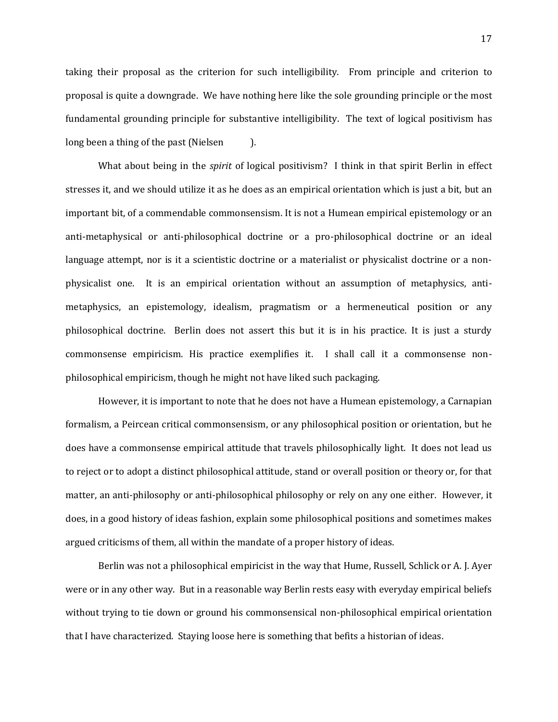taking their proposal as the criterion for such intelligibility. From principle and criterion to proposal is quite a downgrade. We have nothing here like the sole grounding principle or the most fundamental grounding principle for substantive intelligibility. The text of logical positivism has long been a thing of the past (Nielsen ).

What about being in the *spirit* of logical positivism? I think in that spirit Berlin in effect stresses it, and we should utilize it as he does as an empirical orientation which is just a bit, but an important bit, of a commendable commonsensism. It is not a Humean empirical epistemology or an anti-metaphysical or anti-philosophical doctrine or a pro-philosophical doctrine or an ideal language attempt, nor is it a scientistic doctrine or a materialist or physicalist doctrine or a nonphysicalist one. It is an empirical orientation without an assumption of metaphysics, antimetaphysics, an epistemology, idealism, pragmatism or a hermeneutical position or any philosophical doctrine. Berlin does not assert this but it is in his practice. It is just a sturdy commonsense empiricism. His practice exemplifies it. I shall call it a commonsense nonphilosophical empiricism, though he might not have liked such packaging.

However, it is important to note that he does not have a Humean epistemology, a Carnapian formalism, a Peircean critical commonsensism, or any philosophical position or orientation, but he does have a commonsense empirical attitude that travels philosophically light. It does not lead us to reject or to adopt a distinct philosophical attitude, stand or overall position or theory or, for that matter, an anti-philosophy or anti-philosophical philosophy or rely on any one either. However, it does, in a good history of ideas fashion, explain some philosophical positions and sometimes makes argued criticisms of them, all within the mandate of a proper history of ideas.

Berlin was not a philosophical empiricist in the way that Hume, Russell, Schlick or A. J. Ayer were or in any other way. But in a reasonable way Berlin rests easy with everyday empirical beliefs without trying to tie down or ground his commonsensical non-philosophical empirical orientation that I have characterized. Staying loose here is something that befits a historian of ideas.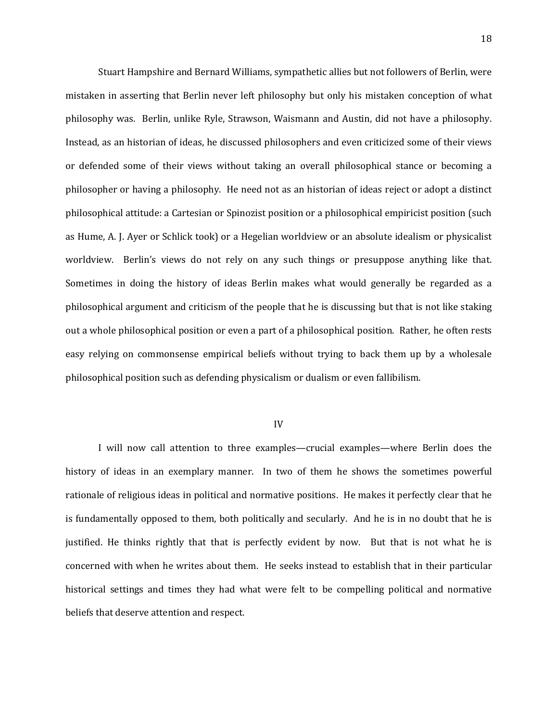Stuart Hampshire and Bernard Williams, sympathetic allies but not followers of Berlin, were mistaken in asserting that Berlin never left philosophy but only his mistaken conception of what philosophy was. Berlin, unlike Ryle, Strawson, Waismann and Austin, did not have a philosophy. Instead, as an historian of ideas, he discussed philosophers and even criticized some of their views or defended some of their views without taking an overall philosophical stance or becoming a philosopher or having a philosophy. He need not as an historian of ideas reject or adopt a distinct philosophical attitude: a Cartesian or Spinozist position or a philosophical empiricist position (such as Hume, A. J. Ayer or Schlick took) or a Hegelian worldview or an absolute idealism or physicalist worldview. Berlin's views do not rely on any such things or presuppose anything like that. Sometimes in doing the history of ideas Berlin makes what would generally be regarded as a philosophical argument and criticism of the people that he is discussing but that is not like staking out a whole philosophical position or even a part of a philosophical position. Rather, he often rests easy relying on commonsense empirical beliefs without trying to back them up by a wholesale philosophical position such as defending physicalism or dualism or even fallibilism.

## IV

I will now call attention to three examples—crucial examples—where Berlin does the history of ideas in an exemplary manner. In two of them he shows the sometimes powerful rationale of religious ideas in political and normative positions. He makes it perfectly clear that he is fundamentally opposed to them, both politically and secularly. And he is in no doubt that he is justified. He thinks rightly that that is perfectly evident by now. But that is not what he is concerned with when he writes about them. He seeks instead to establish that in their particular historical settings and times they had what were felt to be compelling political and normative beliefs that deserve attention and respect.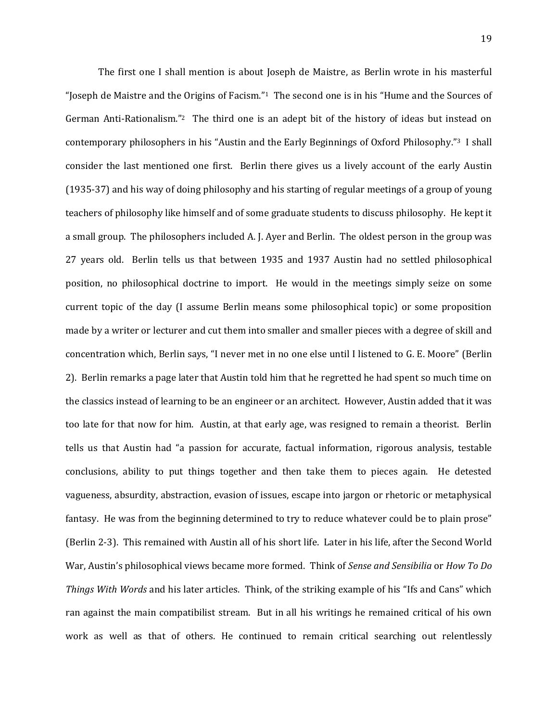The first one I shall mention is about Joseph de Maistre, as Berlin wrote in his masterful "Joseph de Maistre and the Origins of Facism."<sup>1</sup> The second one is in his "Hume and the Sources of German Anti-Rationalism."<sup>2</sup> The third one is an adept bit of the history of ideas but instead on contemporary philosophers in his "Austin and the Early Beginnings of Oxford Philosophy."3 I shall consider the last mentioned one first. Berlin there gives us a lively account of the early Austin (1935-37) and his way of doing philosophy and his starting of regular meetings of a group of young teachers of philosophy like himself and of some graduate students to discuss philosophy. He kept it a small group. The philosophers included A. J. Ayer and Berlin. The oldest person in the group was 27 years old. Berlin tells us that between 1935 and 1937 Austin had no settled philosophical position, no philosophical doctrine to import. He would in the meetings simply seize on some current topic of the day (I assume Berlin means some philosophical topic) or some proposition made by a writer or lecturer and cut them into smaller and smaller pieces with a degree of skill and concentration which, Berlin says, "I never met in no one else until I listened to G. E. Moore" (Berlin 2). Berlin remarks a page later that Austin told him that he regretted he had spent so much time on the classics instead of learning to be an engineer or an architect. However, Austin added that it was too late for that now for him. Austin, at that early age, was resigned to remain a theorist. Berlin tells us that Austin had "a passion for accurate, factual information, rigorous analysis, testable conclusions, ability to put things together and then take them to pieces again. He detested vagueness, absurdity, abstraction, evasion of issues, escape into jargon or rhetoric or metaphysical fantasy. He was from the beginning determined to try to reduce whatever could be to plain prose" (Berlin 2-3). This remained with Austin all of his short life. Later in his life, after the Second World War, Austin's philosophical views became more formed. Think of *Sense and Sensibilia* or *How To Do Things With Words* and his later articles. Think, of the striking example of his "Ifs and Cans" which ran against the main compatibilist stream. But in all his writings he remained critical of his own work as well as that of others. He continued to remain critical searching out relentlessly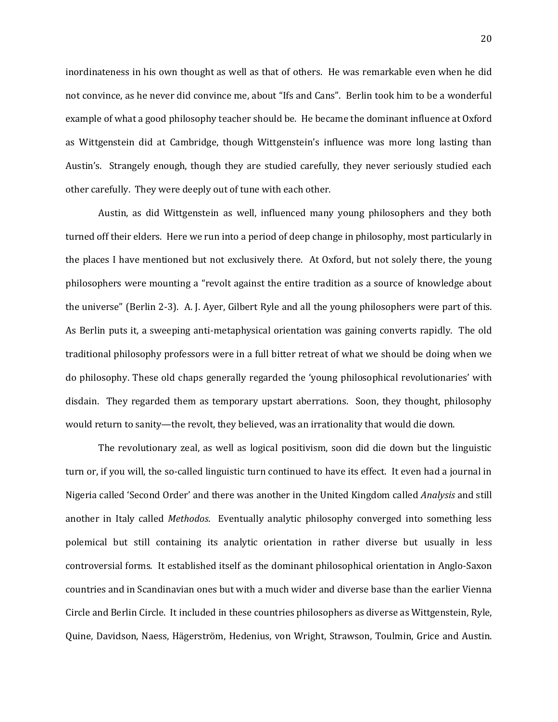inordinateness in his own thought as well as that of others. He was remarkable even when he did not convince, as he never did convince me, about "Ifs and Cans". Berlin took him to be a wonderful example of what a good philosophy teacher should be. He became the dominant influence at Oxford as Wittgenstein did at Cambridge, though Wittgenstein's influence was more long lasting than Austin's. Strangely enough, though they are studied carefully, they never seriously studied each other carefully. They were deeply out of tune with each other.

Austin, as did Wittgenstein as well, influenced many young philosophers and they both turned off their elders. Here we run into a period of deep change in philosophy, most particularly in the places I have mentioned but not exclusively there. At Oxford, but not solely there, the young philosophers were mounting a "revolt against the entire tradition as a source of knowledge about the universe" (Berlin 2-3). A. J. Ayer, Gilbert Ryle and all the young philosophers were part of this. As Berlin puts it, a sweeping anti-metaphysical orientation was gaining converts rapidly. The old traditional philosophy professors were in a full bitter retreat of what we should be doing when we do philosophy. These old chaps generally regarded the 'young philosophical revolutionaries' with disdain. They regarded them as temporary upstart aberrations. Soon, they thought, philosophy would return to sanity—the revolt, they believed, was an irrationality that would die down.

The revolutionary zeal, as well as logical positivism, soon did die down but the linguistic turn or, if you will, the so-called linguistic turn continued to have its effect. It even had a journal in Nigeria called 'Second Order' and there was another in the United Kingdom called *Analysis* and still another in Italy called *Methodos*. Eventually analytic philosophy converged into something less polemical but still containing its analytic orientation in rather diverse but usually in less controversial forms. It established itself as the dominant philosophical orientation in Anglo-Saxon countries and in Scandinavian ones but with a much wider and diverse base than the earlier Vienna Circle and Berlin Circle. It included in these countries philosophers as diverse as Wittgenstein, Ryle, Quine, Davidson, Naess, Hägerström, Hedenius, von Wright, Strawson, Toulmin, Grice and Austin.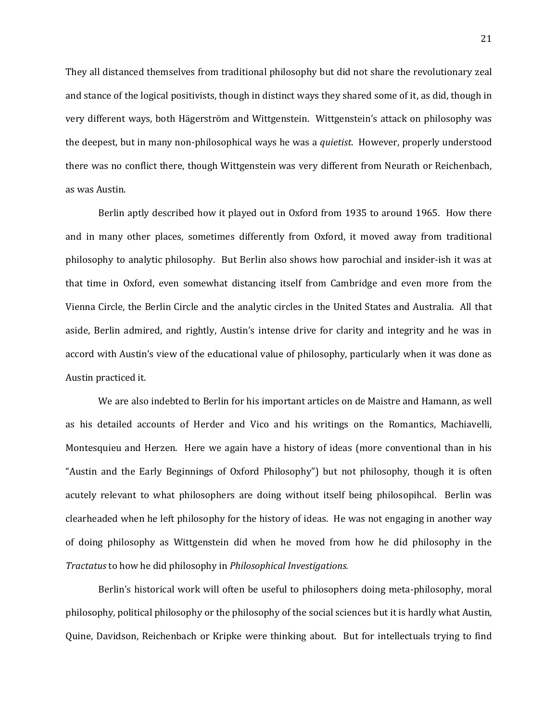They all distanced themselves from traditional philosophy but did not share the revolutionary zeal and stance of the logical positivists, though in distinct ways they shared some of it, as did, though in very different ways, both Hägerström and Wittgenstein. Wittgenstein's attack on philosophy was the deepest, but in many non-philosophical ways he was a *quietist*. However, properly understood there was no conflict there, though Wittgenstein was very different from Neurath or Reichenbach, as was Austin.

Berlin aptly described how it played out in Oxford from 1935 to around 1965. How there and in many other places, sometimes differently from Oxford, it moved away from traditional philosophy to analytic philosophy. But Berlin also shows how parochial and insider-ish it was at that time in Oxford, even somewhat distancing itself from Cambridge and even more from the Vienna Circle, the Berlin Circle and the analytic circles in the United States and Australia. All that aside, Berlin admired, and rightly, Austin's intense drive for clarity and integrity and he was in accord with Austin's view of the educational value of philosophy, particularly when it was done as Austin practiced it.

We are also indebted to Berlin for his important articles on de Maistre and Hamann, as well as his detailed accounts of Herder and Vico and his writings on the Romantics, Machiavelli, Montesquieu and Herzen. Here we again have a history of ideas (more conventional than in his "Austin and the Early Beginnings of Oxford Philosophy") but not philosophy, though it is often acutely relevant to what philosophers are doing without itself being philosopihcal. Berlin was clearheaded when he left philosophy for the history of ideas. He was not engaging in another way of doing philosophy as Wittgenstein did when he moved from how he did philosophy in the *Tractatus* to how he did philosophy in *Philosophical Investigations.*

Berlin's historical work will often be useful to philosophers doing meta-philosophy, moral philosophy, political philosophy or the philosophy of the social sciences but it is hardly what Austin, Quine, Davidson, Reichenbach or Kripke were thinking about. But for intellectuals trying to find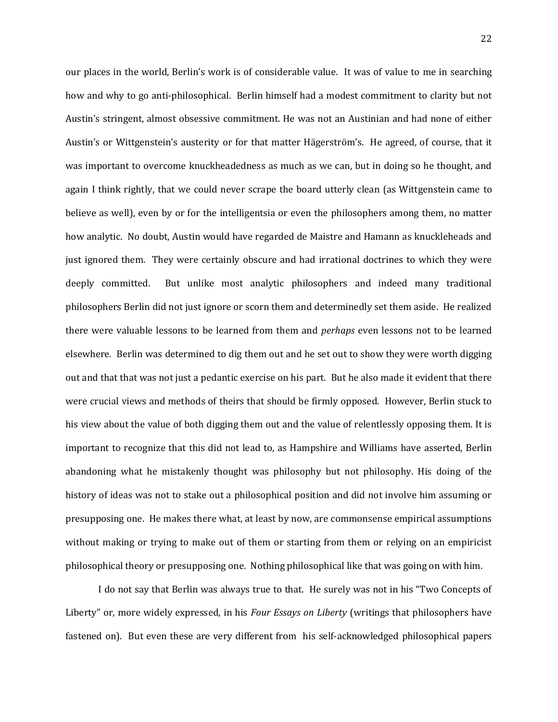our places in the world, Berlin's work is of considerable value. It was of value to me in searching how and why to go anti-philosophical. Berlin himself had a modest commitment to clarity but not Austin's stringent, almost obsessive commitment. He was not an Austinian and had none of either Austin's or Wittgenstein's austerity or for that matter Hägerström's. He agreed, of course, that it was important to overcome knuckheadedness as much as we can, but in doing so he thought, and again I think rightly, that we could never scrape the board utterly clean (as Wittgenstein came to believe as well), even by or for the intelligentsia or even the philosophers among them, no matter how analytic. No doubt, Austin would have regarded de Maistre and Hamann as knuckleheads and just ignored them. They were certainly obscure and had irrational doctrines to which they were deeply committed. But unlike most analytic philosophers and indeed many traditional philosophers Berlin did not just ignore or scorn them and determinedly set them aside. He realized there were valuable lessons to be learned from them and *perhaps* even lessons not to be learned elsewhere. Berlin was determined to dig them out and he set out to show they were worth digging out and that that was not just a pedantic exercise on his part. But he also made it evident that there were crucial views and methods of theirs that should be firmly opposed. However, Berlin stuck to his view about the value of both digging them out and the value of relentlessly opposing them. It is important to recognize that this did not lead to, as Hampshire and Williams have asserted, Berlin abandoning what he mistakenly thought was philosophy but not philosophy. His doing of the history of ideas was not to stake out a philosophical position and did not involve him assuming or presupposing one. He makes there what, at least by now, are commonsense empirical assumptions without making or trying to make out of them or starting from them or relying on an empiricist philosophical theory or presupposing one. Nothing philosophical like that was going on with him.

I do not say that Berlin was always true to that. He surely was not in his "Two Concepts of Liberty" or, more widely expressed, in his *Four Essays on Liberty* (writings that philosophers have fastened on). But even these are very different from his self-acknowledged philosophical papers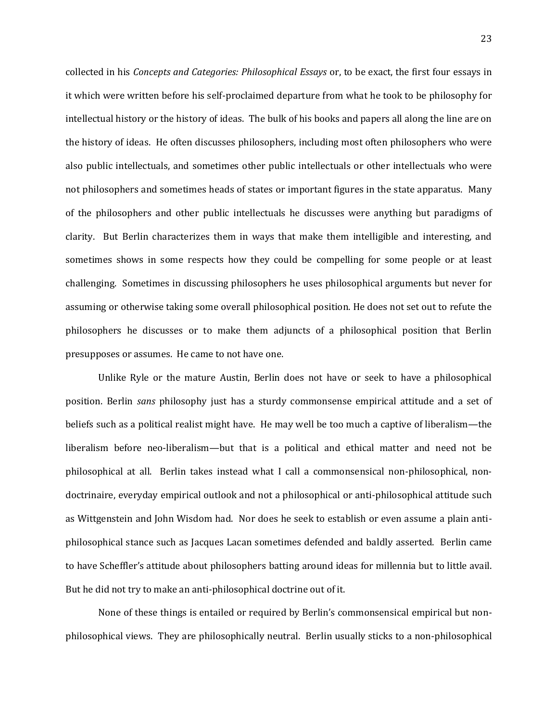collected in his *Concepts and Categories: Philosophical Essays* or, to be exact, the first four essays in it which were written before his self-proclaimed departure from what he took to be philosophy for intellectual history or the history of ideas. The bulk of his books and papers all along the line are on the history of ideas. He often discusses philosophers, including most often philosophers who were also public intellectuals, and sometimes other public intellectuals or other intellectuals who were not philosophers and sometimes heads of states or important figures in the state apparatus. Many of the philosophers and other public intellectuals he discusses were anything but paradigms of clarity. But Berlin characterizes them in ways that make them intelligible and interesting, and sometimes shows in some respects how they could be compelling for some people or at least challenging. Sometimes in discussing philosophers he uses philosophical arguments but never for assuming or otherwise taking some overall philosophical position. He does not set out to refute the philosophers he discusses or to make them adjuncts of a philosophical position that Berlin presupposes or assumes. He came to not have one.

Unlike Ryle or the mature Austin, Berlin does not have or seek to have a philosophical position. Berlin *sans* philosophy just has a sturdy commonsense empirical attitude and a set of beliefs such as a political realist might have. He may well be too much a captive of liberalism—the liberalism before neo-liberalism—but that is a political and ethical matter and need not be philosophical at all. Berlin takes instead what I call a commonsensical non-philosophical, nondoctrinaire, everyday empirical outlook and not a philosophical or anti-philosophical attitude such as Wittgenstein and John Wisdom had. Nor does he seek to establish or even assume a plain antiphilosophical stance such as Jacques Lacan sometimes defended and baldly asserted. Berlin came to have Scheffler's attitude about philosophers batting around ideas for millennia but to little avail. But he did not try to make an anti-philosophical doctrine out of it.

None of these things is entailed or required by Berlin's commonsensical empirical but nonphilosophical views. They are philosophically neutral. Berlin usually sticks to a non-philosophical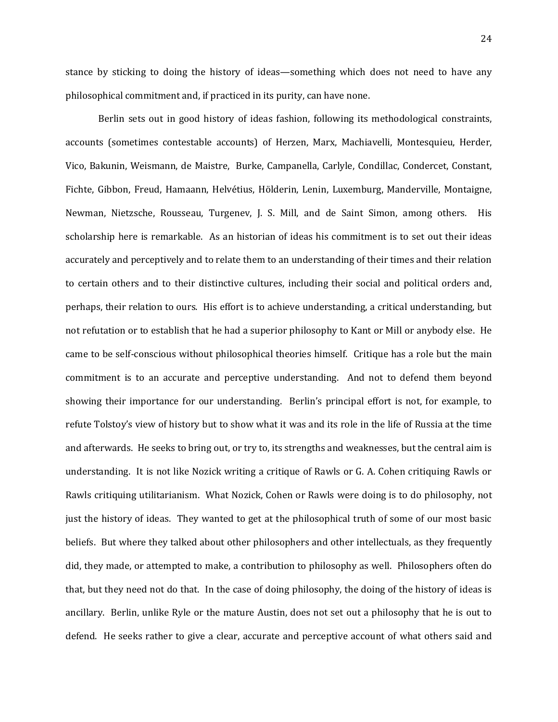stance by sticking to doing the history of ideas—something which does not need to have any philosophical commitment and, if practiced in its purity, can have none.

Berlin sets out in good history of ideas fashion, following its methodological constraints, accounts (sometimes contestable accounts) of Herzen, Marx, Machiavelli, Montesquieu, Herder, Vico, Bakunin, Weismann, de Maistre, Burke, Campanella, Carlyle, Condillac, Condercet, Constant, Fichte, Gibbon, Freud, Hamaann, Helvétius, Hölderin, Lenin, Luxemburg, Manderville, Montaigne, Newman, Nietzsche, Rousseau, Turgenev, J. S. Mill, and de Saint Simon, among others. His scholarship here is remarkable. As an historian of ideas his commitment is to set out their ideas accurately and perceptively and to relate them to an understanding of their times and their relation to certain others and to their distinctive cultures, including their social and political orders and, perhaps, their relation to ours. His effort is to achieve understanding, a critical understanding, but not refutation or to establish that he had a superior philosophy to Kant or Mill or anybody else. He came to be self-conscious without philosophical theories himself. Critique has a role but the main commitment is to an accurate and perceptive understanding. And not to defend them beyond showing their importance for our understanding. Berlin's principal effort is not, for example, to refute Tolstoy's view of history but to show what it was and its role in the life of Russia at the time and afterwards. He seeks to bring out, or try to, its strengths and weaknesses, but the central aim is understanding. It is not like Nozick writing a critique of Rawls or G. A. Cohen critiquing Rawls or Rawls critiquing utilitarianism. What Nozick, Cohen or Rawls were doing is to do philosophy, not just the history of ideas. They wanted to get at the philosophical truth of some of our most basic beliefs. But where they talked about other philosophers and other intellectuals, as they frequently did, they made, or attempted to make, a contribution to philosophy as well. Philosophers often do that, but they need not do that. In the case of doing philosophy, the doing of the history of ideas is ancillary. Berlin, unlike Ryle or the mature Austin, does not set out a philosophy that he is out to defend. He seeks rather to give a clear, accurate and perceptive account of what others said and